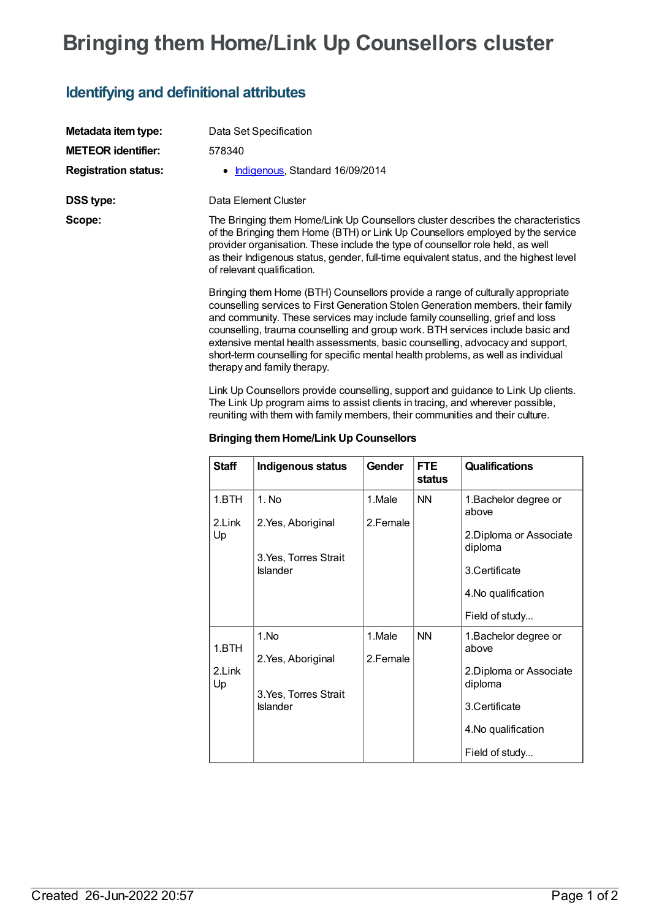# **Bringing them Home/Link Up Counsellors cluster**

### **Identifying and definitional attributes**

| Metadata item type:         | Data Set Specification                                                                                                                                                                                                                                                                                                                                                       |
|-----------------------------|------------------------------------------------------------------------------------------------------------------------------------------------------------------------------------------------------------------------------------------------------------------------------------------------------------------------------------------------------------------------------|
| <b>METEOR identifier:</b>   | 578340                                                                                                                                                                                                                                                                                                                                                                       |
| <b>Registration status:</b> | Indigenous, Standard 16/09/2014                                                                                                                                                                                                                                                                                                                                              |
| <b>DSS type:</b>            | Data Element Cluster                                                                                                                                                                                                                                                                                                                                                         |
| Scope:                      | The Bringing them Home/Link Up Counsellors cluster describes the characteristics<br>of the Bringing them Home (BTH) or Link Up Counsellors employed by the service<br>provider organisation. These include the type of counsellor role held, as well<br>as their Indigenous status, gender, full-time equivalent status, and the highest level<br>of relevant qualification. |

Bringing them Home (BTH) Counsellors provide a range of culturally appropriate counselling services to First Generation StolenGeneration members, their family and community. These services may include family counselling, grief and loss counselling, trauma counselling and group work. BTH services include basic and extensive mental health assessments, basic counselling, advocacy and support, short-term counselling for specific mental health problems, as well as individual therapy and family therapy.

Link Up Counsellors provide counselling, support and guidance to Link Up clients. The Link Up program aims to assist clients in tracing, and wherever possible, reuniting with them with family members, their communities and their culture.

| <b>Staff</b>          | Indigenous status                        | Gender             | <b>FTE</b><br>status | <b>Qualifications</b>                                                      |
|-----------------------|------------------------------------------|--------------------|----------------------|----------------------------------------------------------------------------|
| 1.BTH<br>2.Link<br>Up | 1. No<br>2. Yes, Aboriginal              | 1.Male<br>2.Female | <b>NN</b>            | 1. Bachelor degree or<br>above                                             |
|                       | 3. Yes, Torres Strait<br><b>Islander</b> |                    |                      | 2. Diploma or Associate<br>diploma<br>3.Certificate<br>4. No qualification |
|                       |                                          |                    |                      | Field of study                                                             |
| 1.BTH<br>2.Link<br>Up | 1.No                                     | 1.Male             | <b>NN</b>            | 1. Bachelor degree or<br>above                                             |
|                       | 2. Yes, Aboriginal                       | 2.Female           |                      | 2. Diploma or Associate<br>diploma                                         |
|                       | 3. Yes, Torres Strait<br><b>Islander</b> |                    |                      | 3.Certificate                                                              |
|                       |                                          |                    |                      | 4. No qualification                                                        |
|                       |                                          |                    |                      | Field of study                                                             |

#### **Bringing themHome/Link Up Counsellors**